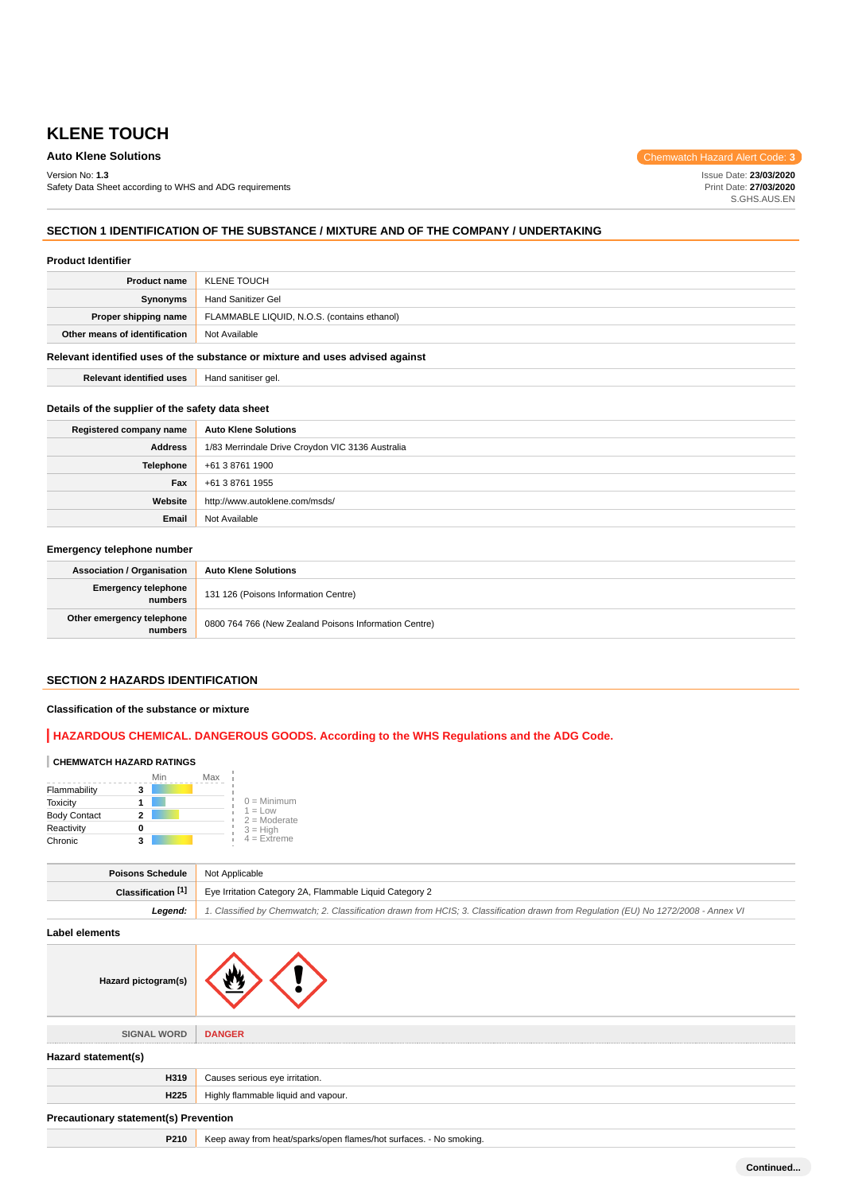Version No: **1.3**

Safety Data Sheet according to WHS and ADG requirements

**Auto Klene Solutions** Chemwatch Hazard Alert Code: **3** 

Issue Date: **23/03/2020** Print Date: **27/03/2020** S.GHS.AUS.EN

# **SECTION 1 IDENTIFICATION OF THE SUBSTANCE / MIXTURE AND OF THE COMPANY / UNDERTAKING**

#### **Product Identifier**

#### **Relevant identified uses of the substance or mixture and uses advised against**

**Relevant identified uses** Hand sanitiser gel.

#### **Details of the supplier of the safety data sheet**

| Registered company name | <b>Auto Klene Solutions</b>                      |
|-------------------------|--------------------------------------------------|
| <b>Address</b>          | 1/83 Merrindale Drive Croydon VIC 3136 Australia |
| Telephone               | +61 3 8761 1900                                  |
| Fax                     | +61 3 8761 1955                                  |
| Website                 | http://www.autoklene.com/msds/                   |
| Email                   | Not Available                                    |

## **Emergency telephone number**

| <b>Association / Organisation</b>    | <b>Auto Klene Solutions</b>                           |
|--------------------------------------|-------------------------------------------------------|
| Emergency telephone<br>numbers       | 131 126 (Poisons Information Centre)                  |
| Other emergency telephone<br>numbers | 0800 764 766 (New Zealand Poisons Information Centre) |

#### **SECTION 2 HAZARDS IDENTIFICATION**

### **Classification of the substance or mixture**

# **HAZARDOUS CHEMICAL. DANGEROUS GOODS. According to the WHS Regulations and the ADG Code.**

## **CHEMWATCH HAZARD RATINGS**

|                     | Min | Max                         |
|---------------------|-----|-----------------------------|
| Flammability        |     |                             |
| <b>Toxicity</b>     |     | $0 =$ Minimum               |
| <b>Body Contact</b> | 2   | $1 = Low$<br>$2 =$ Moderate |
| Reactivity          |     | $3 =$ High                  |
| Chronic             |     | $4$ = Extreme               |

| Poisons Schedule     | Not Applicable                                                                                                                      |  |
|----------------------|-------------------------------------------------------------------------------------------------------------------------------------|--|
| Classification $[1]$ | Eye Irritation Category 2A, Flammable Liquid Category 2                                                                             |  |
| Leaend:              | 1. Classified by Chemwatch; 2. Classification drawn from HCIS; 3. Classification drawn from Regulation (EU) No 1272/2008 - Annex VI |  |

**Label elements**

| Hazard pictogram(s)                          |                                                                    |
|----------------------------------------------|--------------------------------------------------------------------|
| <b>SIGNAL WORD</b>                           | <b>DANGER</b>                                                      |
| Hazard statement(s)                          |                                                                    |
| H319                                         | Causes serious eye irritation.                                     |
| H <sub>225</sub>                             | Highly flammable liquid and vapour.                                |
| <b>Precautionary statement(s) Prevention</b> |                                                                    |
| P210                                         | Keep away from heat/sparks/open flames/hot surfaces. - No smoking. |

**Continued...**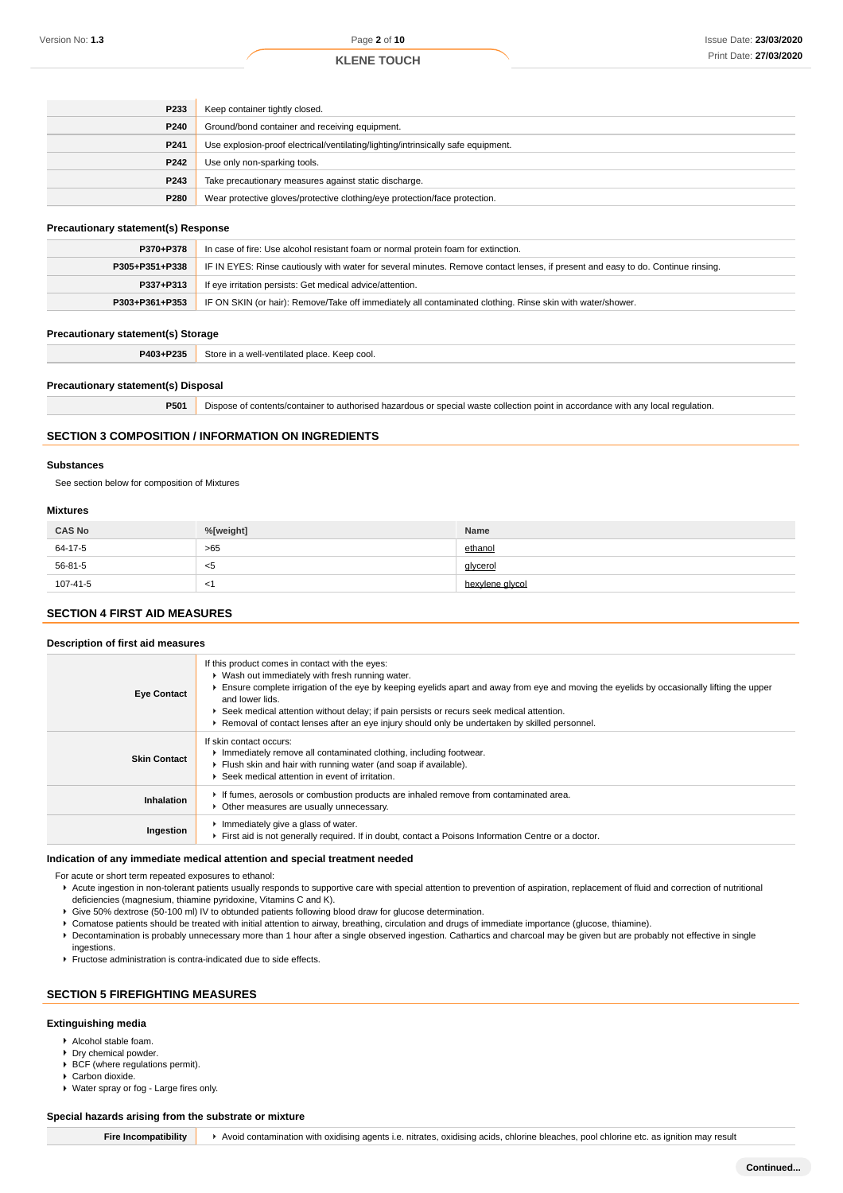| P233             | Keep container tightly closed.                                                    |
|------------------|-----------------------------------------------------------------------------------|
| P240             | Ground/bond container and receiving equipment.                                    |
| P <sub>241</sub> | Use explosion-proof electrical/ventilating/lighting/intrinsically safe equipment. |
| P242             | Use only non-sparking tools.                                                      |
| P243             | Take precautionary measures against static discharge.                             |
| P280             | Wear protective gloves/protective clothing/eye protection/face protection.        |

#### **Precautionary statement(s) Response**

| P370+P378      | In case of fire: Use alcohol resistant foam or normal protein foam for extinction.                                               |  |
|----------------|----------------------------------------------------------------------------------------------------------------------------------|--|
| P305+P351+P338 | IF IN EYES: Rinse cautiously with water for several minutes. Remove contact lenses, if present and easy to do. Continue rinsing. |  |
| P337+P313      | If eye irritation persists: Get medical advice/attention.                                                                        |  |
| P303+P361+P353 | IF ON SKIN (or hair): Remove/Take off immediately all contaminated clothing. Rinse skin with water/shower.                       |  |

#### **Precautionary statement(s) Storage**

| P403+P235 | Store in a well-ventilated place. Keep cool. |
|-----------|----------------------------------------------|
|           |                                              |

# **Precautionary statement(s) Disposal**

| P501 | Dispose of contents/container to authorised hazardous or special waste collection point in accordance with any local regulation. |  |  |  |
|------|----------------------------------------------------------------------------------------------------------------------------------|--|--|--|
|------|----------------------------------------------------------------------------------------------------------------------------------|--|--|--|

#### **SECTION 3 COMPOSITION / INFORMATION ON INGREDIENTS**

#### **Substances**

See section below for composition of Mixtures

#### **Mixtures**

| <b>CAS No</b> | %[weight] | Name            |
|---------------|-----------|-----------------|
| 64-17-5       | $>65$     | ethanol         |
| 56-81-5       | <5        | glycerol        |
| 107-41-5      | - <1      | hexvlene alvcol |

## **SECTION 4 FIRST AID MEASURES**

#### **Description of first aid measures**

| <b>Eye Contact</b>  | If this product comes in contact with the eyes:<br>▶ Wash out immediately with fresh running water.<br>Ensure complete irrigation of the eye by keeping eyelids apart and away from eye and moving the eyelids by occasionally lifting the upper<br>and lower lids.<br>► Seek medical attention without delay; if pain persists or recurs seek medical attention.<br>► Removal of contact lenses after an eye injury should only be undertaken by skilled personnel. |
|---------------------|----------------------------------------------------------------------------------------------------------------------------------------------------------------------------------------------------------------------------------------------------------------------------------------------------------------------------------------------------------------------------------------------------------------------------------------------------------------------|
| <b>Skin Contact</b> | If skin contact occurs:<br>Immediately remove all contaminated clothing, including footwear.<br>Flush skin and hair with running water (and soap if available).<br>▶ Seek medical attention in event of irritation.                                                                                                                                                                                                                                                  |
| Inhalation          | If fumes, aerosols or combustion products are inhaled remove from contaminated area.<br>Other measures are usually unnecessary.                                                                                                                                                                                                                                                                                                                                      |
| Ingestion           | Immediately give a glass of water.<br>First aid is not generally required. If in doubt, contact a Poisons Information Centre or a doctor.                                                                                                                                                                                                                                                                                                                            |

#### **Indication of any immediate medical attention and special treatment needed**

For acute or short term repeated exposures to ethanol:

- Acute ingestion in non-tolerant patients usually responds to supportive care with special attention to prevention of aspiration, replacement of fluid and correction of nutritional deficiencies (magnesium, thiamine pyridoxine, Vitamins C and K).
- Give 50% dextrose (50-100 ml) IV to obtunded patients following blood draw for glucose determination.
- Comatose patients should be treated with initial attention to airway, breathing, circulation and drugs of immediate importance (glucose, thiamine).
- Decontamination is probably unnecessary more than 1 hour after a single observed ingestion. Cathartics and charcoal may be given but are probably not effective in single
- ingestions.
- Fructose administration is contra-indicated due to side effects.

#### **SECTION 5 FIREFIGHTING MEASURES**

#### **Extinguishing media**

- Alcohol stable foam.
- **Dry chemical powder.**
- $\blacktriangleright$  BCF (where regulations permit).
- ▶ Carbon dioxide.
- Water spray or fog Large fires only.

#### **Special hazards arising from the substrate or mixture**

Fire Incompatibility **>** Avoid contamination with oxidising agents i.e. nitrates, oxidising acids, chlorine bleaches, pool chlorine etc. as ignition may result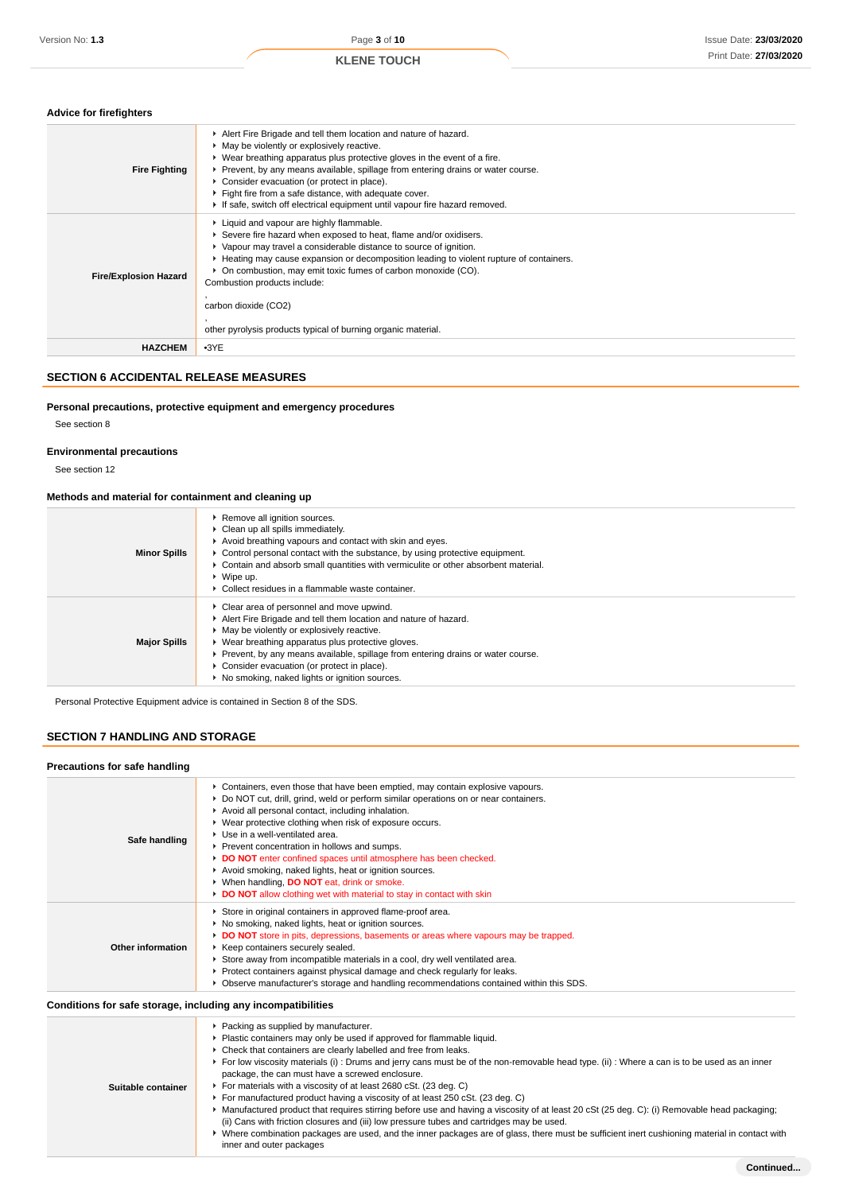| <b>Advice for firefighters</b> |                                                                                                                                                                                                                                                                                                                                                                                                                                                                          |
|--------------------------------|--------------------------------------------------------------------------------------------------------------------------------------------------------------------------------------------------------------------------------------------------------------------------------------------------------------------------------------------------------------------------------------------------------------------------------------------------------------------------|
| <b>Fire Fighting</b>           | Alert Fire Brigade and tell them location and nature of hazard.<br>• May be violently or explosively reactive.<br>▶ Wear breathing apparatus plus protective gloves in the event of a fire.<br>▶ Prevent, by any means available, spillage from entering drains or water course.<br>Consider evacuation (or protect in place).<br>Fight fire from a safe distance, with adequate cover.<br>If safe, switch off electrical equipment until vapour fire hazard removed.    |
| <b>Fire/Explosion Hazard</b>   | Liquid and vapour are highly flammable.<br>Severe fire hazard when exposed to heat, flame and/or oxidisers.<br>▶ Vapour may travel a considerable distance to source of ignition.<br>► Heating may cause expansion or decomposition leading to violent rupture of containers.<br>• On combustion, may emit toxic fumes of carbon monoxide (CO).<br>Combustion products include:<br>carbon dioxide (CO2)<br>other pyrolysis products typical of burning organic material. |
| <b>HAZCHEM</b>                 | $-3YE$                                                                                                                                                                                                                                                                                                                                                                                                                                                                   |

## **SECTION 6 ACCIDENTAL RELEASE MEASURES**

## **Personal precautions, protective equipment and emergency procedures**

See section 8

#### **Environmental precautions**

See section 12

#### **Methods and material for containment and cleaning up**

| <b>Minor Spills</b> | ▶ Remove all ignition sources.<br>• Clean up all spills immediately.<br>Avoid breathing vapours and contact with skin and eyes.<br>$\triangleright$ Control personal contact with the substance, by using protective equipment.<br>► Contain and absorb small quantities with vermiculite or other absorbent material.<br>$\triangleright$ Wipe up.<br>• Collect residues in a flammable waste container.  |
|---------------------|------------------------------------------------------------------------------------------------------------------------------------------------------------------------------------------------------------------------------------------------------------------------------------------------------------------------------------------------------------------------------------------------------------|
| <b>Major Spills</b> | • Clear area of personnel and move upwind.<br>Alert Fire Brigade and tell them location and nature of hazard.<br>• May be violently or explosively reactive.<br>▶ Wear breathing apparatus plus protective gloves.<br>► Prevent, by any means available, spillage from entering drains or water course.<br>• Consider evacuation (or protect in place).<br>▶ No smoking, naked lights or ignition sources. |

Personal Protective Equipment advice is contained in Section 8 of the SDS.

# **SECTION 7 HANDLING AND STORAGE**

# **Precautions for safe handling**

| Precautions for safe nandling                                |                                                                                                                                                                                                                                                                                                                                                                                                                                                                                                                                                                                                                                                                                                                                                                                            |
|--------------------------------------------------------------|--------------------------------------------------------------------------------------------------------------------------------------------------------------------------------------------------------------------------------------------------------------------------------------------------------------------------------------------------------------------------------------------------------------------------------------------------------------------------------------------------------------------------------------------------------------------------------------------------------------------------------------------------------------------------------------------------------------------------------------------------------------------------------------------|
| Safe handling                                                | ▶ Containers, even those that have been emptied, may contain explosive vapours.<br>▶ Do NOT cut, drill, grind, weld or perform similar operations on or near containers.<br>Avoid all personal contact, including inhalation.<br>▶ Wear protective clothing when risk of exposure occurs.<br>$\blacktriangleright$ Use in a well-ventilated area.<br>Prevent concentration in hollows and sumps.<br>DO NOT enter confined spaces until atmosphere has been checked.<br>Avoid smoking, naked lights, heat or ignition sources.<br>▶ When handling, DO NOT eat, drink or smoke.<br>DO NOT allow clothing wet with material to stay in contact with skin                                                                                                                                      |
| Other information                                            | Store in original containers in approved flame-proof area.<br>▶ No smoking, naked lights, heat or ignition sources.<br>DO NOT store in pits, depressions, basements or areas where vapours may be trapped.<br>▶ Keep containers securely sealed.<br>Store away from incompatible materials in a cool, dry well ventilated area.<br>▶ Protect containers against physical damage and check regularly for leaks.<br>▶ Observe manufacturer's storage and handling recommendations contained within this SDS.                                                                                                                                                                                                                                                                                 |
| Conditions for safe storage, including any incompatibilities |                                                                                                                                                                                                                                                                                                                                                                                                                                                                                                                                                                                                                                                                                                                                                                                            |
| Suitable container                                           | ▶ Packing as supplied by manufacturer.<br>• Plastic containers may only be used if approved for flammable liquid.<br>• Check that containers are clearly labelled and free from leaks.<br>For low viscosity materials (i) : Drums and jerry cans must be of the non-removable head type. (ii) : Where a can is to be used as an inner<br>package, the can must have a screwed enclosure.<br>For materials with a viscosity of at least 2680 cSt. (23 deg. C)<br>For manufactured product having a viscosity of at least 250 cSt. (23 deg. C)<br>▶ Manufactured product that requires stirring before use and having a viscosity of at least 20 cSt (25 deg. C): (i) Removable head packaging;<br>(ii) Cans with friction closures and (iii) low pressure tubes and cartridges may be used. |

Where combination packages are used, and the inner packages are of glass, there must be sufficient inert cushioning material in contact with inner and outer packages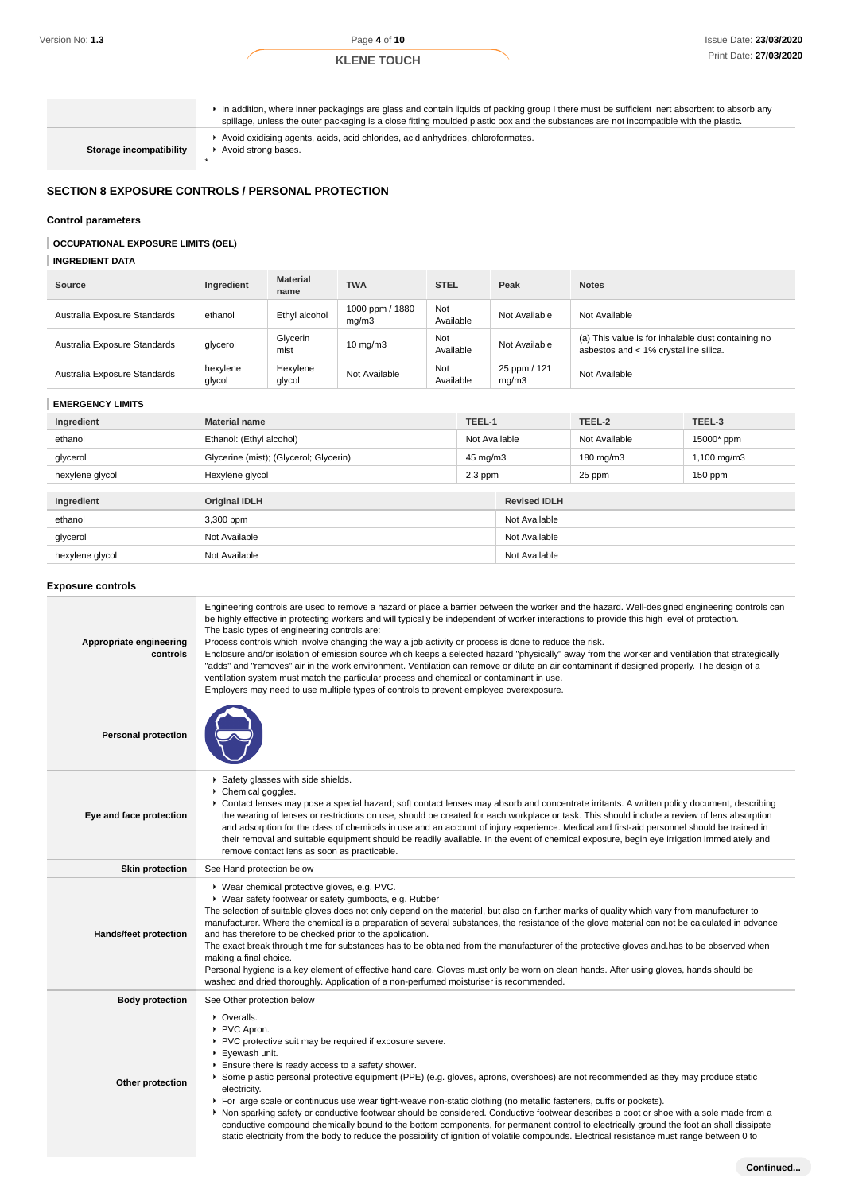In addition, where inner packagings are glass and contain liquids of packing group I there must be sufficient inert absorbent to absorb any spillage, unless the outer packaging is a close fitting moulded plastic box and the substances are not incompatible with the plastic. Avoid oxidising agents, acids, acid chlorides, acid anhydrides, chloroformates.

**Storage incompatibility**

Avoid strong bases.

#### **SECTION 8 EXPOSURE CONTROLS / PERSONAL PROTECTION**

\*

#### **Control parameters**

## **OCCUPATIONAL EXPOSURE LIMITS (OEL)**

## **INGREDIENT DATA**

| <b>Source</b>                | Ingredient         | <b>Material</b><br>name | <b>TWA</b>               | <b>STEL</b>      | Peak                  | <b>Notes</b>                                                                                |
|------------------------------|--------------------|-------------------------|--------------------------|------------------|-----------------------|---------------------------------------------------------------------------------------------|
| Australia Exposure Standards | ethanol            | Ethyl alcohol           | 1000 ppm / 1880<br>mq/m3 | Not<br>Available | Not Available         | Not Available                                                                               |
| Australia Exposure Standards | glycerol           | Glycerin<br>mist        | $10 \text{ mg/m}$ 3      | Not<br>Available | Not Available         | (a) This value is for inhalable dust containing no<br>asbestos and < 1% crystalline silica. |
| Australia Exposure Standards | hexylene<br>glycol | Hexylene<br>glycol      | Not Available            | Not<br>Available | 25 ppm / 121<br>mq/m3 | Not Available                                                                               |

#### **EMERGENCY LIMITS**

| Ingredient      | TEEL-1<br><b>Material name</b>         |               |                     | TEEL-2        | TEEL-3      |
|-----------------|----------------------------------------|---------------|---------------------|---------------|-------------|
| ethanol         | Ethanol: (Ethyl alcohol)               | Not Available |                     | Not Available | 15000* ppm  |
| glycerol        | Glycerine (mist); (Glycerol; Glycerin) | 45 mg/m3      |                     | 180 mg/m3     | 1,100 mg/m3 |
| hexylene glycol | Hexylene glycol                        | $2.3$ ppm     |                     | 25 ppm        | $150$ ppm   |
|                 |                                        |               |                     |               |             |
| Ingredient      | <b>Original IDLH</b>                   |               | <b>Revised IDLH</b> |               |             |
| ethanol         | 3,300 ppm                              |               | Not Available       |               |             |
| glycerol        | Not Available                          |               | Not Available       |               |             |
| hexylene glycol | Not Available                          |               | Not Available       |               |             |

#### **Exposure controls**

| Appropriate engineering<br>controls | Engineering controls are used to remove a hazard or place a barrier between the worker and the hazard. Well-designed engineering controls can<br>be highly effective in protecting workers and will typically be independent of worker interactions to provide this high level of protection.<br>The basic types of engineering controls are:<br>Process controls which involve changing the way a job activity or process is done to reduce the risk.<br>Enclosure and/or isolation of emission source which keeps a selected hazard "physically" away from the worker and ventilation that strategically<br>"adds" and "removes" air in the work environment. Ventilation can remove or dilute an air contaminant if designed properly. The design of a<br>ventilation system must match the particular process and chemical or contaminant in use.<br>Employers may need to use multiple types of controls to prevent employee overexposure. |
|-------------------------------------|-------------------------------------------------------------------------------------------------------------------------------------------------------------------------------------------------------------------------------------------------------------------------------------------------------------------------------------------------------------------------------------------------------------------------------------------------------------------------------------------------------------------------------------------------------------------------------------------------------------------------------------------------------------------------------------------------------------------------------------------------------------------------------------------------------------------------------------------------------------------------------------------------------------------------------------------------|
| <b>Personal protection</b>          |                                                                                                                                                                                                                                                                                                                                                                                                                                                                                                                                                                                                                                                                                                                                                                                                                                                                                                                                                 |
| Eye and face protection             | Safety glasses with side shields.<br>Chemical goggles.<br>► Contact lenses may pose a special hazard; soft contact lenses may absorb and concentrate irritants. A written policy document, describing<br>the wearing of lenses or restrictions on use, should be created for each workplace or task. This should include a review of lens absorption<br>and adsorption for the class of chemicals in use and an account of injury experience. Medical and first-aid personnel should be trained in<br>their removal and suitable equipment should be readily available. In the event of chemical exposure, begin eye irrigation immediately and<br>remove contact lens as soon as practicable.                                                                                                                                                                                                                                                  |
| <b>Skin protection</b>              | See Hand protection below                                                                                                                                                                                                                                                                                                                                                                                                                                                                                                                                                                                                                                                                                                                                                                                                                                                                                                                       |
| Hands/feet protection               | ▶ Wear chemical protective gloves, e.g. PVC.<br>▶ Wear safety footwear or safety gumboots, e.g. Rubber<br>The selection of suitable gloves does not only depend on the material, but also on further marks of quality which vary from manufacturer to<br>manufacturer. Where the chemical is a preparation of several substances, the resistance of the glove material can not be calculated in advance<br>and has therefore to be checked prior to the application.<br>The exact break through time for substances has to be obtained from the manufacturer of the protective gloves and has to be observed when<br>making a final choice.<br>Personal hygiene is a key element of effective hand care. Gloves must only be worn on clean hands. After using gloves, hands should be<br>washed and dried thoroughly. Application of a non-perfumed moisturiser is recommended.                                                                 |
| <b>Body protection</b>              | See Other protection below                                                                                                                                                                                                                                                                                                                                                                                                                                                                                                                                                                                                                                                                                                                                                                                                                                                                                                                      |
| Other protection                    | • Overalls.<br>▶ PVC Apron.<br>PVC protective suit may be required if exposure severe.<br>Eyewash unit.<br>Ensure there is ready access to a safety shower.<br>▶ Some plastic personal protective equipment (PPE) (e.g. gloves, aprons, overshoes) are not recommended as they may produce static<br>electricity.<br>For large scale or continuous use wear tight-weave non-static clothing (no metallic fasteners, cuffs or pockets).<br>▶ Non sparking safety or conductive footwear should be considered. Conductive footwear describes a boot or shoe with a sole made from a<br>conductive compound chemically bound to the bottom components, for permanent control to electrically ground the foot an shall dissipate<br>static electricity from the body to reduce the possibility of ignition of volatile compounds. Electrical resistance must range between 0 to                                                                     |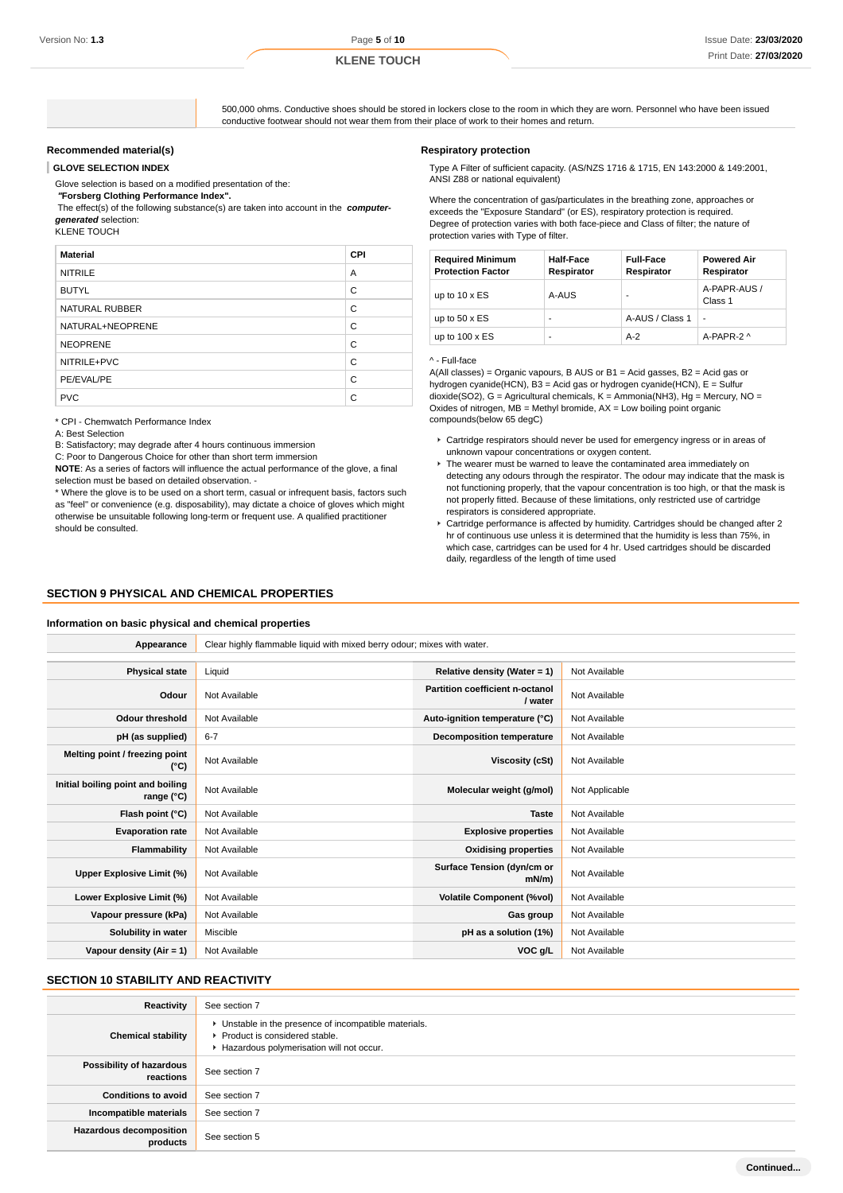500,000 ohms. Conductive shoes should be stored in lockers close to the room in which they are worn. Personnel who have been issued conductive footwear should not wear them from their place of work to their homes and return.

## **Recommended material(s)**

**GLOVE SELECTION INDEX**

Glove selection is based on a modified presentation of the:

 **"Forsberg Clothing Performance Index".** The effect(s) of the following substance(s) are taken into account in the **computergenerated** selection:

KLENE TOUCH

| <b>Material</b>       | CPI |
|-----------------------|-----|
| <b>NITRILE</b>        | A   |
| <b>BUTYL</b>          | C   |
| <b>NATURAL RUBBER</b> | C   |
| NATURAL+NEOPRENE      | C   |
| <b>NEOPRENE</b>       | C   |
| NITRILE+PVC           | C   |
| PE/EVAL/PE            | C   |
| <b>PVC</b>            | C   |

\* CPI - Chemwatch Performance Index

A: Best Selection

B: Satisfactory; may degrade after 4 hours continuous immersion

C: Poor to Dangerous Choice for other than short term immersion

**NOTE**: As a series of factors will influence the actual performance of the glove, a final selection must be based on detailed observation. -

\* Where the glove is to be used on a short term, casual or infrequent basis, factors such as "feel" or convenience (e.g. disposability), may dictate a choice of gloves which might otherwise be unsuitable following long-term or frequent use. A qualified practitioner should be consulted.

#### **Respiratory protection**

Type A Filter of sufficient capacity. (AS/NZS 1716 & 1715, EN 143:2000 & 149:2001, ANSI Z88 or national equivalent)

Where the concentration of gas/particulates in the breathing zone, approaches or exceeds the "Exposure Standard" (or ES), respiratory protection is required. Degree of protection varies with both face-piece and Class of filter; the nature of protection varies with Type of filter.

| <b>Required Minimum</b><br><b>Protection Factor</b> | <b>Half-Face</b><br>Respirator | <b>Full-Face</b><br>Respirator | <b>Powered Air</b><br>Respirator |
|-----------------------------------------------------|--------------------------------|--------------------------------|----------------------------------|
| up to $10 \times ES$                                | A-AUS                          |                                | A-PAPR-AUS /<br>Class 1          |
| up to $50 \times ES$                                | -                              | A-AUS / Class 1                |                                  |
| up to $100 \times ES$                               | -                              | $A-2$                          | A-PAPR-2 ^                       |

#### ^ - Full-face

A(All classes) = Organic vapours, B AUS or B1 = Acid gasses, B2 = Acid gas or hydrogen cyanide(HCN), B3 = Acid gas or hydrogen cyanide(HCN), E = Sulfur dioxide(SO2), G = Agricultural chemicals, K = Ammonia(NH3), Hg = Mercury, NO = Oxides of nitrogen,  $MB =$  Methyl bromide,  $AX =$  Low boiling point organic compounds(below 65 degC)

- Cartridge respirators should never be used for emergency ingress or in areas of unknown vapour concentrations or oxygen content.
- $\blacktriangleright$  The wearer must be warned to leave the contaminated area immediately on detecting any odours through the respirator. The odour may indicate that the mask is not functioning properly, that the vapour concentration is too high, or that the mask is not properly fitted. Because of these limitations, only restricted use of cartridge respirators is considered appropriate.
- Cartridge performance is affected by humidity. Cartridges should be changed after 2 hr of continuous use unless it is determined that the humidity is less than 75%, in which case, cartridges can be used for 4 hr. Used cartridges should be discarded daily, regardless of the length of time used

### **SECTION 9 PHYSICAL AND CHEMICAL PROPERTIES**

#### **Information on basic physical and chemical properties**

| Appearance                                      | Clear highly flammable liquid with mixed berry odour; mixes with water. |                                            |                |  |
|-------------------------------------------------|-------------------------------------------------------------------------|--------------------------------------------|----------------|--|
|                                                 |                                                                         |                                            |                |  |
| <b>Physical state</b>                           | Liquid                                                                  | Relative density (Water = $1$ )            | Not Available  |  |
| Odour                                           | Not Available                                                           | Partition coefficient n-octanol<br>/ water | Not Available  |  |
| <b>Odour threshold</b>                          | Not Available                                                           | Auto-ignition temperature (°C)             | Not Available  |  |
| pH (as supplied)                                | $6 - 7$                                                                 | <b>Decomposition temperature</b>           | Not Available  |  |
| Melting point / freezing point<br>(°C)          | Not Available                                                           | Viscosity (cSt)                            | Not Available  |  |
| Initial boiling point and boiling<br>range (°C) | Not Available                                                           | Molecular weight (g/mol)                   | Not Applicable |  |
| Flash point (°C)                                | Not Available                                                           | <b>Taste</b>                               | Not Available  |  |
| <b>Evaporation rate</b>                         | Not Available                                                           | <b>Explosive properties</b>                | Not Available  |  |
| Flammability                                    | Not Available                                                           | <b>Oxidising properties</b>                | Not Available  |  |
| Upper Explosive Limit (%)                       | Not Available                                                           | Surface Tension (dyn/cm or<br>$mN/m$ )     | Not Available  |  |
| Lower Explosive Limit (%)                       | Not Available                                                           | <b>Volatile Component (%vol)</b>           | Not Available  |  |
| Vapour pressure (kPa)                           | Not Available                                                           | Gas group                                  | Not Available  |  |
| Solubility in water                             | Miscible                                                                | pH as a solution (1%)                      | Not Available  |  |
| Vapour density $(Air = 1)$                      | Not Available                                                           | VOC g/L                                    | Not Available  |  |

### **SECTION 10 STABILITY AND REACTIVITY**

| Reactivity                            | See section 7                                                                                                                        |
|---------------------------------------|--------------------------------------------------------------------------------------------------------------------------------------|
| <b>Chemical stability</b>             | • Unstable in the presence of incompatible materials.<br>▶ Product is considered stable.<br>Hazardous polymerisation will not occur. |
| Possibility of hazardous<br>reactions | See section 7                                                                                                                        |
| <b>Conditions to avoid</b>            | See section 7                                                                                                                        |
| Incompatible materials                | See section 7                                                                                                                        |
| Hazardous decomposition<br>products   | See section 5                                                                                                                        |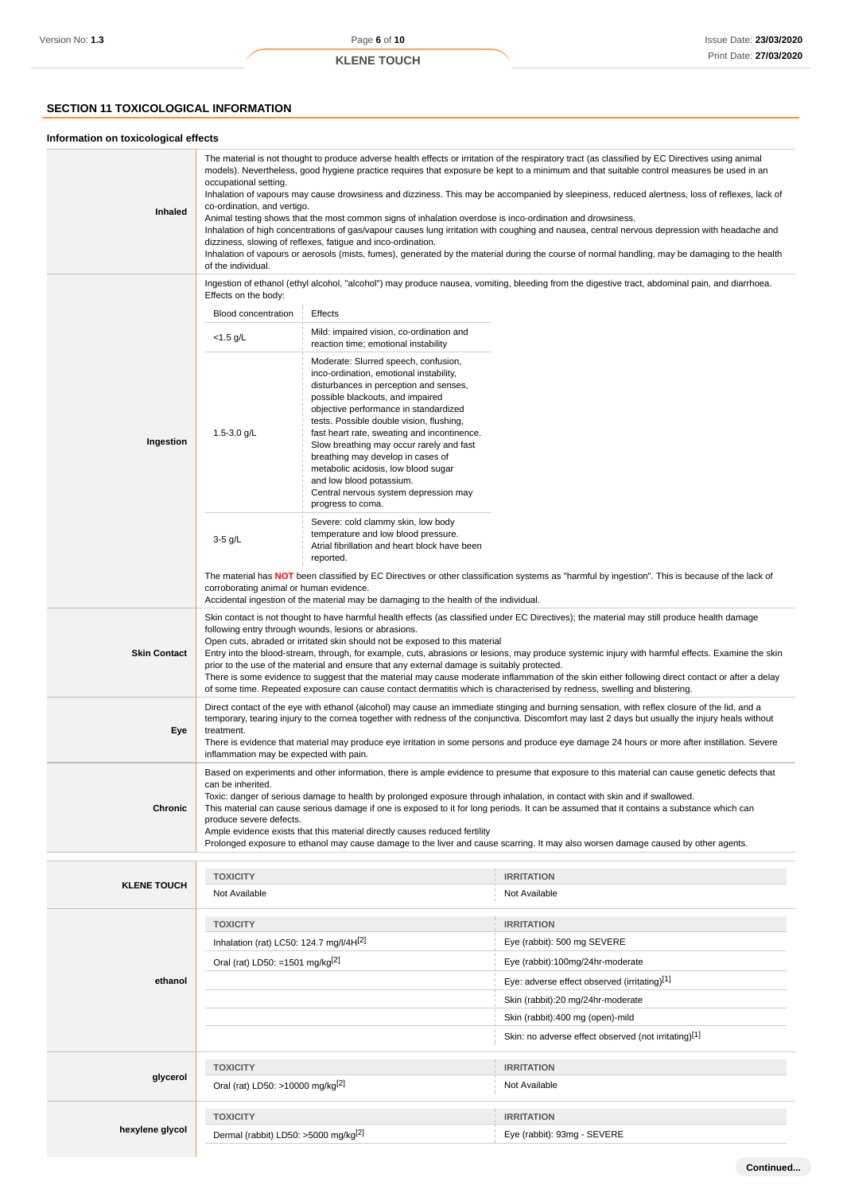# **SECTION 11 TOXICOLOGICAL INFORMATION**

#### **Information on toxicological effects**

| Inhaled             | The material is not thought to produce adverse health effects or irritation of the respiratory tract (as classified by EC Directives using animal<br>models). Nevertheless, good hygiene practice requires that exposure be kept to a minimum and that suitable control measures be used in an<br>occupational setting.<br>Inhalation of vapours may cause drowsiness and dizziness. This may be accompanied by sleepiness, reduced alertness, loss of reflexes, lack of<br>co-ordination, and vertigo.<br>Animal testing shows that the most common signs of inhalation overdose is inco-ordination and drowsiness.<br>Inhalation of high concentrations of gas/vapour causes lung irritation with coughing and nausea, central nervous depression with headache and<br>dizziness, slowing of reflexes, fatigue and inco-ordination.<br>Inhalation of vapours or aerosols (mists, fumes), generated by the material during the course of normal handling, may be damaging to the health<br>of the individual. |                                                                                                                                                                                                                                                                                                                                                                                                                                                                                                                     |                                                                                                                                                 |  |
|---------------------|----------------------------------------------------------------------------------------------------------------------------------------------------------------------------------------------------------------------------------------------------------------------------------------------------------------------------------------------------------------------------------------------------------------------------------------------------------------------------------------------------------------------------------------------------------------------------------------------------------------------------------------------------------------------------------------------------------------------------------------------------------------------------------------------------------------------------------------------------------------------------------------------------------------------------------------------------------------------------------------------------------------|---------------------------------------------------------------------------------------------------------------------------------------------------------------------------------------------------------------------------------------------------------------------------------------------------------------------------------------------------------------------------------------------------------------------------------------------------------------------------------------------------------------------|-------------------------------------------------------------------------------------------------------------------------------------------------|--|
|                     | Effects on the body:                                                                                                                                                                                                                                                                                                                                                                                                                                                                                                                                                                                                                                                                                                                                                                                                                                                                                                                                                                                           |                                                                                                                                                                                                                                                                                                                                                                                                                                                                                                                     | Ingestion of ethanol (ethyl alcohol, "alcohol") may produce nausea, vomiting, bleeding from the digestive tract, abdominal pain, and diarrhoea. |  |
|                     | <b>Blood concentration</b>                                                                                                                                                                                                                                                                                                                                                                                                                                                                                                                                                                                                                                                                                                                                                                                                                                                                                                                                                                                     | Effects                                                                                                                                                                                                                                                                                                                                                                                                                                                                                                             |                                                                                                                                                 |  |
|                     | $<$ 1.5 g/L                                                                                                                                                                                                                                                                                                                                                                                                                                                                                                                                                                                                                                                                                                                                                                                                                                                                                                                                                                                                    | Mild: impaired vision, co-ordination and<br>reaction time; emotional instability                                                                                                                                                                                                                                                                                                                                                                                                                                    |                                                                                                                                                 |  |
| Ingestion           | 1.5-3.0 $g/L$                                                                                                                                                                                                                                                                                                                                                                                                                                                                                                                                                                                                                                                                                                                                                                                                                                                                                                                                                                                                  | Moderate: Slurred speech, confusion,<br>inco-ordination, emotional instability,<br>disturbances in perception and senses,<br>possible blackouts, and impaired<br>objective performance in standardized<br>tests. Possible double vision, flushing,<br>fast heart rate, sweating and incontinence.<br>Slow breathing may occur rarely and fast<br>breathing may develop in cases of<br>metabolic acidosis, low blood sugar<br>and low blood potassium.<br>Central nervous system depression may<br>progress to coma. |                                                                                                                                                 |  |
|                     | $3-5$ g/L                                                                                                                                                                                                                                                                                                                                                                                                                                                                                                                                                                                                                                                                                                                                                                                                                                                                                                                                                                                                      | Severe: cold clammy skin, low body<br>temperature and low blood pressure.<br>Atrial fibrillation and heart block have been<br>reported.                                                                                                                                                                                                                                                                                                                                                                             |                                                                                                                                                 |  |
|                     | corroborating animal or human evidence.                                                                                                                                                                                                                                                                                                                                                                                                                                                                                                                                                                                                                                                                                                                                                                                                                                                                                                                                                                        | Accidental ingestion of the material may be damaging to the health of the individual.                                                                                                                                                                                                                                                                                                                                                                                                                               | The material has NOT been classified by EC Directives or other classification systems as "harmful by ingestion". This is because of the lack of |  |
| <b>Skin Contact</b> | Skin contact is not thought to have harmful health effects (as classified under EC Directives); the material may still produce health damage<br>following entry through wounds, lesions or abrasions.<br>Open cuts, abraded or irritated skin should not be exposed to this material<br>Entry into the blood-stream, through, for example, cuts, abrasions or lesions, may produce systemic injury with harmful effects. Examine the skin<br>prior to the use of the material and ensure that any external damage is suitably protected.<br>There is some evidence to suggest that the material may cause moderate inflammation of the skin either following direct contact or after a delay<br>of some time. Repeated exposure can cause contact dermatitis which is characterised by redness, swelling and blistering.                                                                                                                                                                                       |                                                                                                                                                                                                                                                                                                                                                                                                                                                                                                                     |                                                                                                                                                 |  |
| Eye                 | Direct contact of the eye with ethanol (alcohol) may cause an immediate stinging and burning sensation, with reflex closure of the lid, and a<br>temporary, tearing injury to the cornea together with redness of the conjunctiva. Discomfort may last 2 days but usually the injury heals without<br>treatment.<br>There is evidence that material may produce eye irritation in some persons and produce eye damage 24 hours or more after instillation. Severe<br>inflammation may be expected with pain.                                                                                                                                                                                                                                                                                                                                                                                                                                                                                                   |                                                                                                                                                                                                                                                                                                                                                                                                                                                                                                                     |                                                                                                                                                 |  |
| Chronic             | Based on experiments and other information, there is ample evidence to presume that exposure to this material can cause genetic defects that<br>can be inherited.<br>Toxic: danger of serious damage to health by prolonged exposure through inhalation, in contact with skin and if swallowed.<br>This material can cause serious damage if one is exposed to it for long periods. It can be assumed that it contains a substance which can<br>produce severe defects.<br>Ample evidence exists that this material directly causes reduced fertility<br>Prolonged exposure to ethanol may cause damage to the liver and cause scarring. It may also worsen damage caused by other agents.                                                                                                                                                                                                                                                                                                                     |                                                                                                                                                                                                                                                                                                                                                                                                                                                                                                                     |                                                                                                                                                 |  |
|                     | <b>TOXICITY</b>                                                                                                                                                                                                                                                                                                                                                                                                                                                                                                                                                                                                                                                                                                                                                                                                                                                                                                                                                                                                |                                                                                                                                                                                                                                                                                                                                                                                                                                                                                                                     | <b>IRRITATION</b>                                                                                                                               |  |
| <b>KLENE TOUCH</b>  | Not Available                                                                                                                                                                                                                                                                                                                                                                                                                                                                                                                                                                                                                                                                                                                                                                                                                                                                                                                                                                                                  |                                                                                                                                                                                                                                                                                                                                                                                                                                                                                                                     | Not Available                                                                                                                                   |  |
|                     | <b>TOXICITY</b>                                                                                                                                                                                                                                                                                                                                                                                                                                                                                                                                                                                                                                                                                                                                                                                                                                                                                                                                                                                                |                                                                                                                                                                                                                                                                                                                                                                                                                                                                                                                     | <b>IRRITATION</b>                                                                                                                               |  |
|                     | Inhalation (rat) LC50: 124.7 mg/l/4H[2]                                                                                                                                                                                                                                                                                                                                                                                                                                                                                                                                                                                                                                                                                                                                                                                                                                                                                                                                                                        |                                                                                                                                                                                                                                                                                                                                                                                                                                                                                                                     | Eye (rabbit): 500 mg SEVERE                                                                                                                     |  |
|                     | Oral (rat) LD50: =1501 mg/kg $^{[2]}$                                                                                                                                                                                                                                                                                                                                                                                                                                                                                                                                                                                                                                                                                                                                                                                                                                                                                                                                                                          |                                                                                                                                                                                                                                                                                                                                                                                                                                                                                                                     | Eye (rabbit):100mg/24hr-moderate                                                                                                                |  |
| ethanol             |                                                                                                                                                                                                                                                                                                                                                                                                                                                                                                                                                                                                                                                                                                                                                                                                                                                                                                                                                                                                                |                                                                                                                                                                                                                                                                                                                                                                                                                                                                                                                     | Eye: adverse effect observed (irritating)[1]                                                                                                    |  |
|                     |                                                                                                                                                                                                                                                                                                                                                                                                                                                                                                                                                                                                                                                                                                                                                                                                                                                                                                                                                                                                                |                                                                                                                                                                                                                                                                                                                                                                                                                                                                                                                     | Skin (rabbit):20 mg/24hr-moderate                                                                                                               |  |
|                     |                                                                                                                                                                                                                                                                                                                                                                                                                                                                                                                                                                                                                                                                                                                                                                                                                                                                                                                                                                                                                |                                                                                                                                                                                                                                                                                                                                                                                                                                                                                                                     | Skin (rabbit):400 mg (open)-mild                                                                                                                |  |
|                     |                                                                                                                                                                                                                                                                                                                                                                                                                                                                                                                                                                                                                                                                                                                                                                                                                                                                                                                                                                                                                |                                                                                                                                                                                                                                                                                                                                                                                                                                                                                                                     | Skin: no adverse effect observed (not irritating)[1]                                                                                            |  |
|                     | <b>TOXICITY</b>                                                                                                                                                                                                                                                                                                                                                                                                                                                                                                                                                                                                                                                                                                                                                                                                                                                                                                                                                                                                |                                                                                                                                                                                                                                                                                                                                                                                                                                                                                                                     | <b>IRRITATION</b>                                                                                                                               |  |
| glycerol            | Oral (rat) LD50: >10000 mg/kg <sup>[2]</sup>                                                                                                                                                                                                                                                                                                                                                                                                                                                                                                                                                                                                                                                                                                                                                                                                                                                                                                                                                                   |                                                                                                                                                                                                                                                                                                                                                                                                                                                                                                                     | Not Available                                                                                                                                   |  |
|                     | <b>TOXICITY</b>                                                                                                                                                                                                                                                                                                                                                                                                                                                                                                                                                                                                                                                                                                                                                                                                                                                                                                                                                                                                |                                                                                                                                                                                                                                                                                                                                                                                                                                                                                                                     | <b>IRRITATION</b>                                                                                                                               |  |
| hexylene glycol     | Dermal (rabbit) LD50: >5000 mg/kg <sup>[2]</sup>                                                                                                                                                                                                                                                                                                                                                                                                                                                                                                                                                                                                                                                                                                                                                                                                                                                                                                                                                               |                                                                                                                                                                                                                                                                                                                                                                                                                                                                                                                     | Eye (rabbit): 93mg - SEVERE                                                                                                                     |  |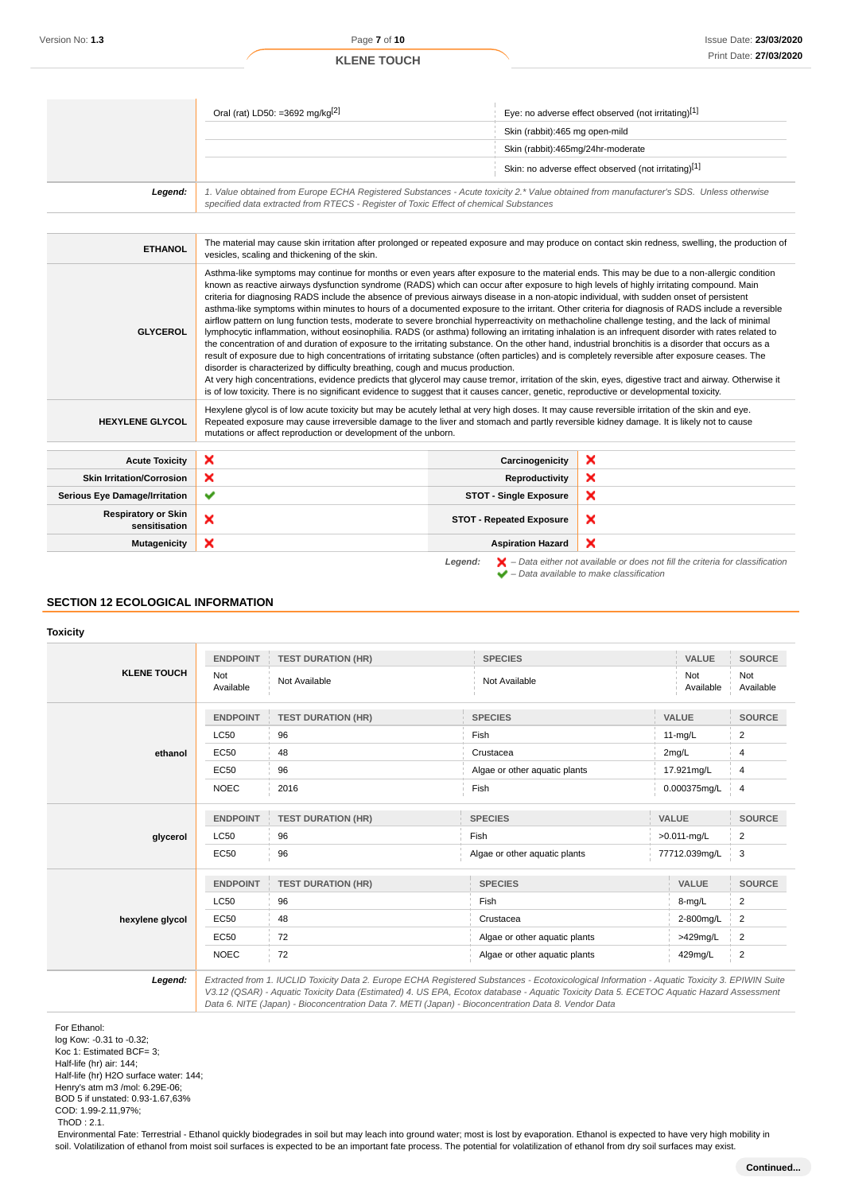|                                             | Oral (rat) LD50: =3692 mg/kg <sup>[2]</sup>                                                                                                                                                                                                                                                                                                                                                                                                                                                                                                                                                                                                                                                                                                                                                                                                                                                                                                                                                                                                                                                                                                                                                                                                                                                                                                                                                                                                                                                                                                                                                     |                                   | Eye: no adverse effect observed (not irritating)[1]  |  |
|---------------------------------------------|-------------------------------------------------------------------------------------------------------------------------------------------------------------------------------------------------------------------------------------------------------------------------------------------------------------------------------------------------------------------------------------------------------------------------------------------------------------------------------------------------------------------------------------------------------------------------------------------------------------------------------------------------------------------------------------------------------------------------------------------------------------------------------------------------------------------------------------------------------------------------------------------------------------------------------------------------------------------------------------------------------------------------------------------------------------------------------------------------------------------------------------------------------------------------------------------------------------------------------------------------------------------------------------------------------------------------------------------------------------------------------------------------------------------------------------------------------------------------------------------------------------------------------------------------------------------------------------------------|-----------------------------------|------------------------------------------------------|--|
|                                             |                                                                                                                                                                                                                                                                                                                                                                                                                                                                                                                                                                                                                                                                                                                                                                                                                                                                                                                                                                                                                                                                                                                                                                                                                                                                                                                                                                                                                                                                                                                                                                                                 | Skin (rabbit):465 mg open-mild    |                                                      |  |
|                                             |                                                                                                                                                                                                                                                                                                                                                                                                                                                                                                                                                                                                                                                                                                                                                                                                                                                                                                                                                                                                                                                                                                                                                                                                                                                                                                                                                                                                                                                                                                                                                                                                 | Skin (rabbit):465mg/24hr-moderate |                                                      |  |
|                                             |                                                                                                                                                                                                                                                                                                                                                                                                                                                                                                                                                                                                                                                                                                                                                                                                                                                                                                                                                                                                                                                                                                                                                                                                                                                                                                                                                                                                                                                                                                                                                                                                 |                                   | Skin: no adverse effect observed (not irritating)[1] |  |
| Legend:                                     | 1. Value obtained from Europe ECHA Registered Substances - Acute toxicity 2.* Value obtained from manufacturer's SDS. Unless otherwise<br>specified data extracted from RTECS - Register of Toxic Effect of chemical Substances                                                                                                                                                                                                                                                                                                                                                                                                                                                                                                                                                                                                                                                                                                                                                                                                                                                                                                                                                                                                                                                                                                                                                                                                                                                                                                                                                                 |                                   |                                                      |  |
|                                             |                                                                                                                                                                                                                                                                                                                                                                                                                                                                                                                                                                                                                                                                                                                                                                                                                                                                                                                                                                                                                                                                                                                                                                                                                                                                                                                                                                                                                                                                                                                                                                                                 |                                   |                                                      |  |
| <b>ETHANOL</b>                              | The material may cause skin irritation after prolonged or repeated exposure and may produce on contact skin redness, swelling, the production of<br>vesicles, scaling and thickening of the skin.                                                                                                                                                                                                                                                                                                                                                                                                                                                                                                                                                                                                                                                                                                                                                                                                                                                                                                                                                                                                                                                                                                                                                                                                                                                                                                                                                                                               |                                   |                                                      |  |
| <b>GLYCEROL</b>                             | Asthma-like symptoms may continue for months or even years after exposure to the material ends. This may be due to a non-allergic condition<br>known as reactive airways dysfunction syndrome (RADS) which can occur after exposure to high levels of highly irritating compound. Main<br>criteria for diagnosing RADS include the absence of previous airways disease in a non-atopic individual, with sudden onset of persistent<br>asthma-like symptoms within minutes to hours of a documented exposure to the irritant. Other criteria for diagnosis of RADS include a reversible<br>airflow pattern on lung function tests, moderate to severe bronchial hyperreactivity on methacholine challenge testing, and the lack of minimal<br>lymphocytic inflammation, without eosinophilia. RADS (or asthma) following an irritating inhalation is an infrequent disorder with rates related to<br>the concentration of and duration of exposure to the irritating substance. On the other hand, industrial bronchitis is a disorder that occurs as a<br>result of exposure due to high concentrations of irritating substance (often particles) and is completely reversible after exposure ceases. The<br>disorder is characterized by difficulty breathing, cough and mucus production.<br>At very high concentrations, evidence predicts that glycerol may cause tremor, irritation of the skin, eyes, digestive tract and airway. Otherwise it<br>is of low toxicity. There is no significant evidence to suggest that it causes cancer, genetic, reproductive or developmental toxicity. |                                   |                                                      |  |
| <b>HEXYLENE GLYCOL</b>                      | Hexylene glycol is of low acute toxicity but may be acutely lethal at very high doses. It may cause reversible irritation of the skin and eye.<br>Repeated exposure may cause irreversible damage to the liver and stomach and partly reversible kidney damage. It is likely not to cause<br>mutations or affect reproduction or development of the unborn.                                                                                                                                                                                                                                                                                                                                                                                                                                                                                                                                                                                                                                                                                                                                                                                                                                                                                                                                                                                                                                                                                                                                                                                                                                     |                                   |                                                      |  |
| <b>Acute Toxicity</b>                       | ×                                                                                                                                                                                                                                                                                                                                                                                                                                                                                                                                                                                                                                                                                                                                                                                                                                                                                                                                                                                                                                                                                                                                                                                                                                                                                                                                                                                                                                                                                                                                                                                               | Carcinogenicity                   | ×                                                    |  |
| <b>Skin Irritation/Corrosion</b>            | ×                                                                                                                                                                                                                                                                                                                                                                                                                                                                                                                                                                                                                                                                                                                                                                                                                                                                                                                                                                                                                                                                                                                                                                                                                                                                                                                                                                                                                                                                                                                                                                                               | Reproductivity                    | ×                                                    |  |
| <b>Serious Eye Damage/Irritation</b>        | ✔                                                                                                                                                                                                                                                                                                                                                                                                                                                                                                                                                                                                                                                                                                                                                                                                                                                                                                                                                                                                                                                                                                                                                                                                                                                                                                                                                                                                                                                                                                                                                                                               | <b>STOT - Single Exposure</b>     | ×                                                    |  |
| <b>Respiratory or Skin</b><br>sensitisation | ×                                                                                                                                                                                                                                                                                                                                                                                                                                                                                                                                                                                                                                                                                                                                                                                                                                                                                                                                                                                                                                                                                                                                                                                                                                                                                                                                                                                                                                                                                                                                                                                               | <b>STOT - Repeated Exposure</b>   | ×                                                    |  |
| <b>Mutagenicity</b>                         | ×                                                                                                                                                                                                                                                                                                                                                                                                                                                                                                                                                                                                                                                                                                                                                                                                                                                                                                                                                                                                                                                                                                                                                                                                                                                                                                                                                                                                                                                                                                                                                                                               | <b>Aspiration Hazard</b>          | ×                                                    |  |

**SECTION 12 ECOLOGICAL INFORMATION**

#### **Toxicity**

|                    | <b>ENDPOINT</b>  | <b>TEST DURATION (HR)</b> | <b>SPECIES</b>                                                                                                                                | VALUE            | <b>SOURCE</b>    |
|--------------------|------------------|---------------------------|-----------------------------------------------------------------------------------------------------------------------------------------------|------------------|------------------|
| <b>KLENE TOUCH</b> | Not<br>Available | Not Available             | Not Available                                                                                                                                 | Not<br>Available | Not<br>Available |
|                    | <b>ENDPOINT</b>  | <b>TEST DURATION (HR)</b> | <b>SPECIES</b>                                                                                                                                | VALUE            | <b>SOURCE</b>    |
|                    | <b>LC50</b>      | 96                        | Fish                                                                                                                                          | $11-mq/L$        | 2                |
| ethanol            | EC50             | 48                        | Crustacea                                                                                                                                     | 2mg/L            | 4                |
|                    | <b>EC50</b>      | 96                        | Algae or other aquatic plants                                                                                                                 | 17.921mg/L       | 4                |
|                    | <b>NOEC</b>      | 2016                      | Fish                                                                                                                                          | 0.000375mg/L     | $\overline{4}$   |
|                    | <b>ENDPOINT</b>  | <b>TEST DURATION (HR)</b> | <b>SPECIES</b>                                                                                                                                | <b>VALUE</b>     | <b>SOURCE</b>    |
| glycerol           | <b>LC50</b>      | 96                        | Fish                                                                                                                                          | >0.011-mg/L      | $\overline{2}$   |
|                    | <b>EC50</b>      | 96                        | Algae or other aquatic plants                                                                                                                 | 77712.039mg/L    | 3                |
|                    | <b>ENDPOINT</b>  | <b>TEST DURATION (HR)</b> | <b>SPECIES</b>                                                                                                                                | VALUE            | <b>SOURCE</b>    |
| hexylene glycol    | <b>LC50</b>      | 96                        | Fish                                                                                                                                          | 8-mg/L           | $\overline{2}$   |
|                    | <b>EC50</b>      | 48                        | Crustacea                                                                                                                                     | 2-800mg/L        | $\overline{2}$   |
|                    | <b>EC50</b>      | 72                        | Algae or other aquatic plants                                                                                                                 | >429mg/L         | $\overline{2}$   |
|                    | <b>NOEC</b>      | 72                        | Algae or other aquatic plants                                                                                                                 | 429mg/L          | $\overline{2}$   |
| Legend:            |                  |                           | Extracted from 1. IUCLID Toxicity Data 2. Europe ECHA Registered Substances - Ecotoxicological Information - Aquatic Toxicity 3. EPIWIN Suite |                  |                  |

V3.12 (QSAR) - Aquatic Toxicity Data (Estimated) 4. US EPA, Ecotox database - Aquatic Toxicity Data 5. ECETOC Aquatic Hazard Assessment Data 6. NITE (Japan) - Bioconcentration Data 7. METI (Japan) - Bioconcentration Data 8. Vendor Data

**Legend:**  $\mathbf{X}$  – Data either not available or does not fill the criteria for classification

– Data available to make classification

For Ethanol: log Kow: -0.31 to -0.32; Koc 1: Estimated BCF= 3; Half-life (hr) air: 144; Half-life (hr) H2O surface water: 144; Henry's atm m3 /mol: 6.29E-06; BOD 5 if unstated: 0.93-1.67,63% COD: 1.99-2.11,97%; ThOD : 2.1.

 Environmental Fate: Terrestrial - Ethanol quickly biodegrades in soil but may leach into ground water; most is lost by evaporation. Ethanol is expected to have very high mobility in soil. Volatilization of ethanol from moist soil surfaces is expected to be an important fate process. The potential for volatilization of ethanol from dry soil surfaces may exist.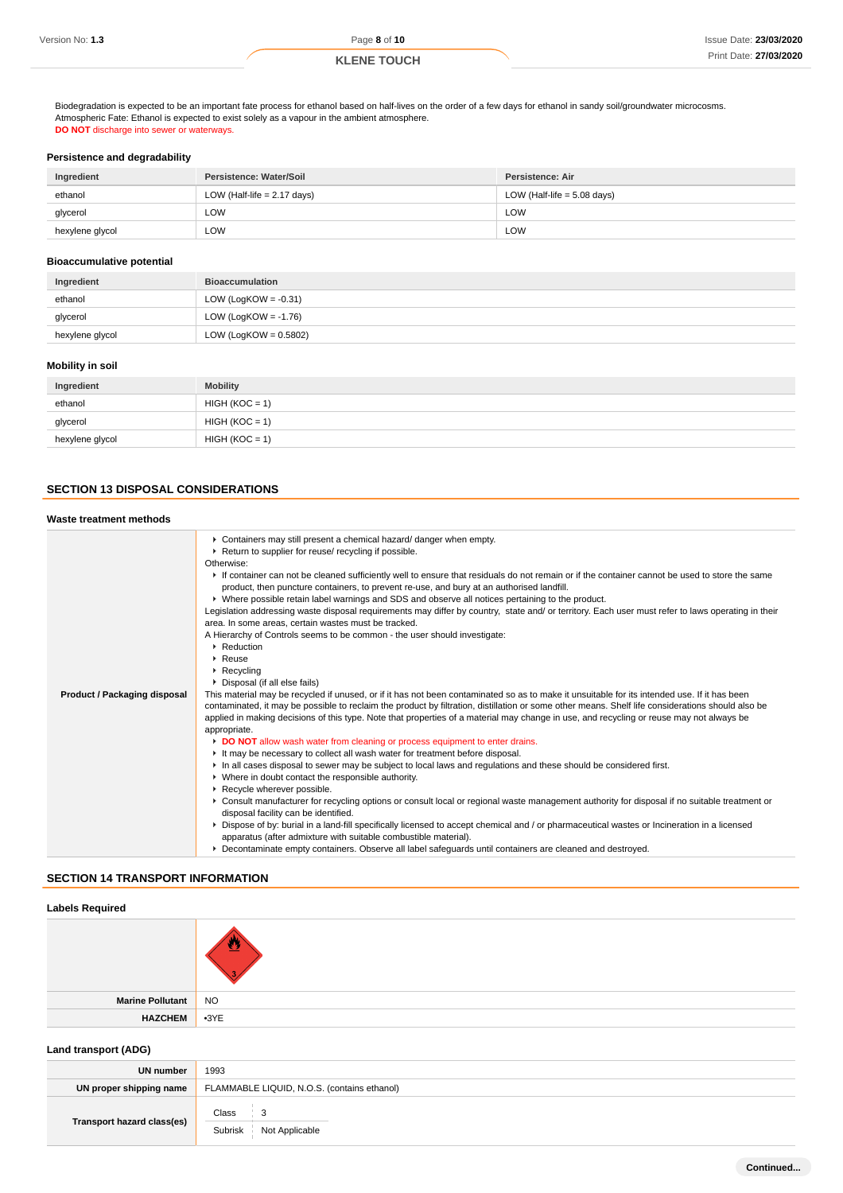|  | Version No: 1.3 |  |  |  |
|--|-----------------|--|--|--|
|--|-----------------|--|--|--|

Version No: **1.3** Page **8** of **10**

# **KLENE TOUCH**

Biodegradation is expected to be an important fate process for ethanol based on half-lives on the order of a few days for ethanol in sandy soil/groundwater microcosms. Atmospheric Fate: Ethanol is expected to exist solely as a vapour in the ambient atmosphere. **DO NOT** discharge into sewer or waterways.

## **Persistence and degradability**

| Ingredient      | Persistence: Water/Soil       | Persistence: Air              |
|-----------------|-------------------------------|-------------------------------|
| ethanol         | LOW (Half-life $= 2.17$ days) | LOW (Half-life $= 5.08$ days) |
| glycerol        | LOW                           | LOW                           |
| hexylene glycol | LOW                           | LOW                           |

#### **Bioaccumulative potential**

| Ingredient      | <b>Bioaccumulation</b>   |
|-----------------|--------------------------|
| ethanol         | LOW (LogKOW = $-0.31$ )  |
| glycerol        | LOW (LogKOW = $-1.76$ )  |
| hexylene glycol | LOW (LogKOW = $0.5802$ ) |

#### **Mobility in soil**

| Ingredient      | <b>Mobility</b>  |
|-----------------|------------------|
| ethanol         | $HIGH (KOC = 1)$ |
| glycerol        | $HIGH (KOC = 1)$ |
| hexylene glycol | $HIGH (KOC = 1)$ |

# **SECTION 13 DISPOSAL CONSIDERATIONS**

# **Waste treatment methods**

| Containers may still present a chemical hazard/ danger when empty.<br>Return to supplier for reuse/ recycling if possible.<br>Otherwise:<br>If container can not be cleaned sufficiently well to ensure that residuals do not remain or if the container cannot be used to store the same<br>product, then puncture containers, to prevent re-use, and bury at an authorised landfill.<br>▶ Where possible retain label warnings and SDS and observe all notices pertaining to the product.<br>Legislation addressing waste disposal requirements may differ by country, state and/ or territory. Each user must refer to laws operating in their<br>area. In some areas, certain wastes must be tracked.<br>A Hierarchy of Controls seems to be common - the user should investigate:<br>▶ Reduction<br>$\triangleright$ Reuse<br>$\triangleright$ Recycling<br>• Disposal (if all else fails)                                                                                                                                                                                                                                                                                                                                                                                                                                                                  |
|------------------------------------------------------------------------------------------------------------------------------------------------------------------------------------------------------------------------------------------------------------------------------------------------------------------------------------------------------------------------------------------------------------------------------------------------------------------------------------------------------------------------------------------------------------------------------------------------------------------------------------------------------------------------------------------------------------------------------------------------------------------------------------------------------------------------------------------------------------------------------------------------------------------------------------------------------------------------------------------------------------------------------------------------------------------------------------------------------------------------------------------------------------------------------------------------------------------------------------------------------------------------------------------------------------------------------------------------------------------|
|                                                                                                                                                                                                                                                                                                                                                                                                                                                                                                                                                                                                                                                                                                                                                                                                                                                                                                                                                                                                                                                                                                                                                                                                                                                                                                                                                                  |
| This material may be recycled if unused, or if it has not been contaminated so as to make it unsuitable for its intended use. If it has been<br>contaminated, it may be possible to reclaim the product by filtration, distillation or some other means. Shelf life considerations should also be<br>applied in making decisions of this type. Note that properties of a material may change in use, and recycling or reuse may not always be<br>appropriate.<br>DO NOT allow wash water from cleaning or process equipment to enter drains.<br>It may be necessary to collect all wash water for treatment before disposal.<br>In all cases disposal to sewer may be subject to local laws and regulations and these should be considered first.<br>▶ Where in doubt contact the responsible authority.<br>Recycle wherever possible.<br>▶ Consult manufacturer for recycling options or consult local or regional waste management authority for disposal if no suitable treatment or<br>disposal facility can be identified.<br>▶ Dispose of by: burial in a land-fill specifically licensed to accept chemical and / or pharmaceutical wastes or Incineration in a licensed<br>apparatus (after admixture with suitable combustible material).<br>▶ Decontaminate empty containers. Observe all label safeguards until containers are cleaned and destroyed. |
|                                                                                                                                                                                                                                                                                                                                                                                                                                                                                                                                                                                                                                                                                                                                                                                                                                                                                                                                                                                                                                                                                                                                                                                                                                                                                                                                                                  |

### **SECTION 14 TRANSPORT INFORMATION**

| <b>Labels Required</b> |        |
|------------------------|--------|
|                        |        |
| Marine Pollutant NO    |        |
| <b>HAZCHEM</b>         | $-3YE$ |
|                        |        |

# **Land transport (ADG)**

| UN number                  | 1993                                        |
|----------------------------|---------------------------------------------|
| UN proper shipping name    | FLAMMABLE LIQUID, N.O.S. (contains ethanol) |
| Transport hazard class(es) | Class<br>3<br>Subrisk<br>Not Applicable     |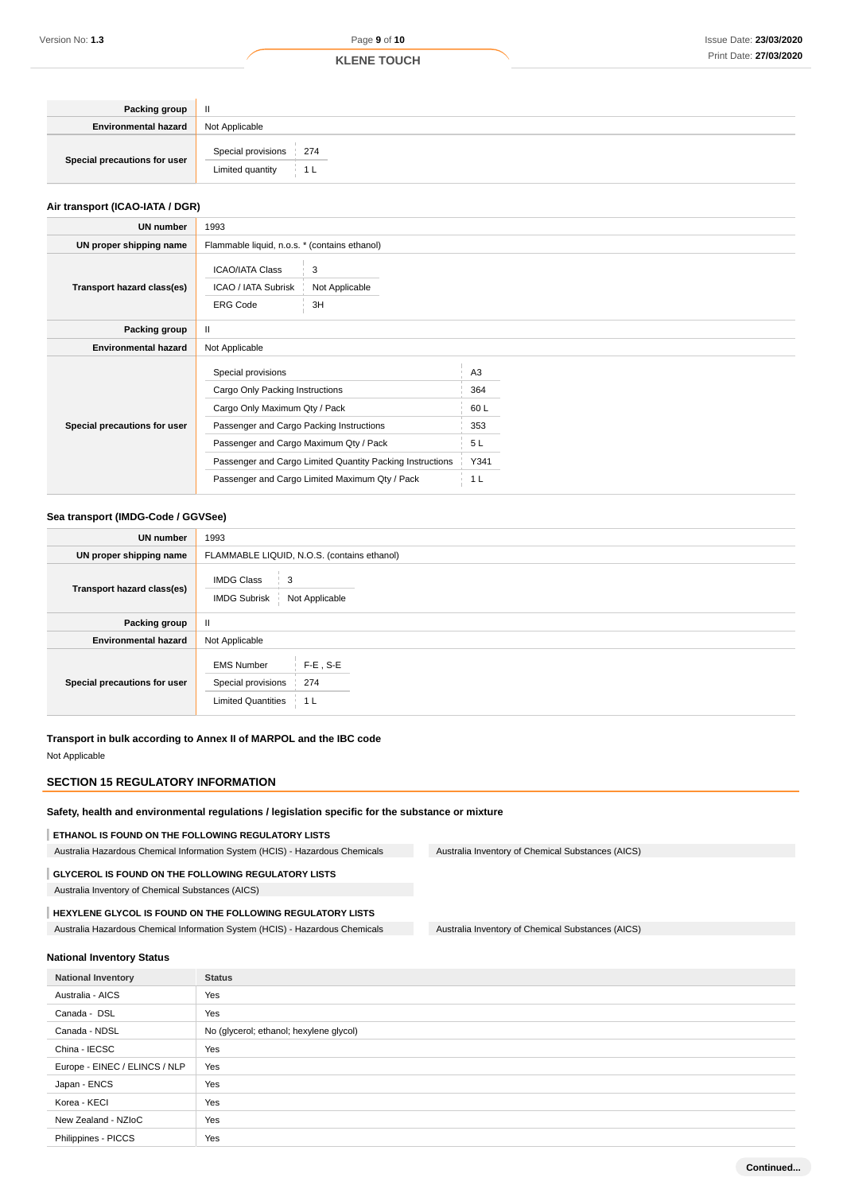| Packing group                | $\mathbf{I}$                               |
|------------------------------|--------------------------------------------|
| <b>Environmental hazard</b>  | Not Applicable                             |
| Special precautions for user | Special provisions 274<br>Limited quantity |

#### **Air transport (ICAO-IATA / DGR)**

| <b>UN number</b>             | 1993                                                                                                                                                                                                                                      |                                                    |  |
|------------------------------|-------------------------------------------------------------------------------------------------------------------------------------------------------------------------------------------------------------------------------------------|----------------------------------------------------|--|
| UN proper shipping name      | Flammable liquid, n.o.s. * (contains ethanol)                                                                                                                                                                                             |                                                    |  |
| Transport hazard class(es)   | <b>ICAO/IATA Class</b><br>3<br>ICAO / IATA Subrisk<br>Not Applicable<br><b>ERG Code</b><br>3H                                                                                                                                             |                                                    |  |
| Packing group                | Ш                                                                                                                                                                                                                                         |                                                    |  |
| <b>Environmental hazard</b>  | Not Applicable                                                                                                                                                                                                                            |                                                    |  |
| Special precautions for user | Special provisions<br>Cargo Only Packing Instructions<br>Cargo Only Maximum Qty / Pack<br>Passenger and Cargo Packing Instructions<br>Passenger and Cargo Maximum Qty / Pack<br>Passenger and Cargo Limited Quantity Packing Instructions | A <sub>3</sub><br>364<br>60 L<br>353<br>5L<br>Y341 |  |
|                              | Passenger and Cargo Limited Maximum Qty / Pack                                                                                                                                                                                            | 1 L                                                |  |

#### **Sea transport (IMDG-Code / GGVSee)**

| <b>UN number</b>             | 1993                                                                                              |
|------------------------------|---------------------------------------------------------------------------------------------------|
| UN proper shipping name      | FLAMMABLE LIQUID, N.O.S. (contains ethanol)                                                       |
| Transport hazard class(es)   | <b>IMDG Class</b><br>3<br><b>IMDG Subrisk</b><br>Not Applicable                                   |
| Packing group                | $\mathbf{II}$                                                                                     |
| <b>Environmental hazard</b>  | Not Applicable                                                                                    |
| Special precautions for user | $F-E$ , S-E<br><b>EMS Number</b><br>274<br>Special provisions<br><b>Limited Quantities</b><br>1 L |

**Transport in bulk according to Annex II of MARPOL and the IBC code** Not Applicable

# **SECTION 15 REGULATORY INFORMATION**

**Safety, health and environmental regulations / legislation specific for the substance or mixture**

**ETHANOL IS FOUND ON THE FOLLOWING REGULATORY LISTS** Australia Hazardous Chemical Information System (HCIS) - Hazardous Chemicals Australia Inventory of Chemical Substances (AICS) **GLYCEROL IS FOUND ON THE FOLLOWING REGULATORY LISTS**

Australia Inventory of Chemical Substances (AICS)

### **HEXYLENE GLYCOL IS FOUND ON THE FOLLOWING REGULATORY LISTS**

Australia Hazardous Chemical Information System (HCIS) - Hazardous Chemicals Australia Inventory of Chemical Substances (AICS)

#### **National Inventory Status**

| <b>National Inventory</b>     | <b>Status</b>                           |
|-------------------------------|-----------------------------------------|
| Australia - AICS              | Yes                                     |
| Canada - DSL                  | Yes                                     |
| Canada - NDSL                 | No (glycerol; ethanol; hexylene glycol) |
| China - IECSC                 | Yes                                     |
| Europe - EINEC / ELINCS / NLP | Yes                                     |
| Japan - ENCS                  | Yes                                     |
| Korea - KECI                  | Yes                                     |
| New Zealand - NZIoC           | Yes                                     |
| Philippines - PICCS           | Yes                                     |